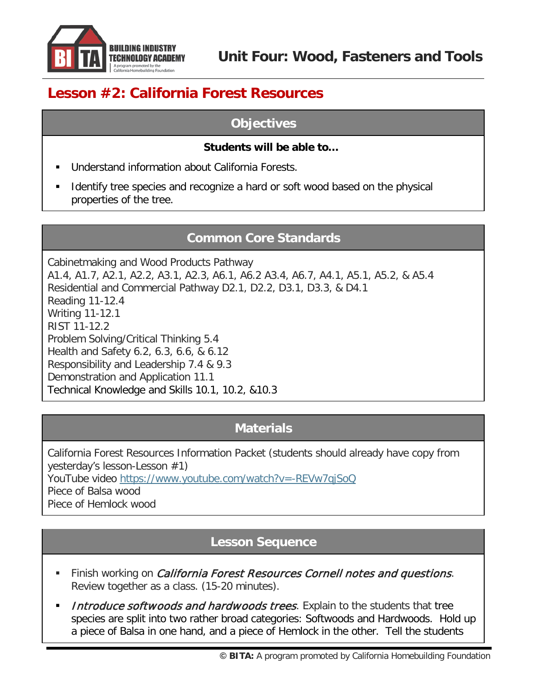

# **Lesson #2: California Forest Resources**

### **Objectives**

#### **Students will be able to…**

- Understand information about California Forests.
- Identify tree species and recognize a hard or soft wood based on the physical properties of the tree.

## **Common Core Standards**

Cabinetmaking and Wood Products Pathway A1.4, A1.7, A2.1, A2.2, A3.1, A2.3, A6.1, A6.2 A3.4, A6.7, A4.1, A5.1, A5.2, & A5.4 Residential and Commercial Pathway D2.1, D2.2, D3.1, D3.3, & D4.1 Reading 11-12.4 Writing 11-12.1 RIST 11-12.2 Problem Solving/Critical Thinking 5.4 Health and Safety 6.2, 6.3, 6.6, & 6.12 Responsibility and Leadership 7.4 & 9.3 Demonstration and Application 11.1 Technical Knowledge and Skills 10.1, 10.2, &10.3

## **Materials**

California Forest Resources Information Packet (students should already have copy from yesterday's lesson-Lesson #1)

YouTube video <https://www.youtube.com/watch?v=-REVw7qjSoQ> Piece of Balsa wood

Piece of Hemlock wood

### **Lesson Sequence**

- Finish working on *California Forest Resources Cornell notes and questions*. Review together as a class. (15-20 minutes).
- Introduce softwoods and hardwoods trees. Explain to the students that tree species are split into two rather broad categories: Softwoods and Hardwoods. Hold up a piece of Balsa in one hand, and a piece of Hemlock in the other. Tell the students